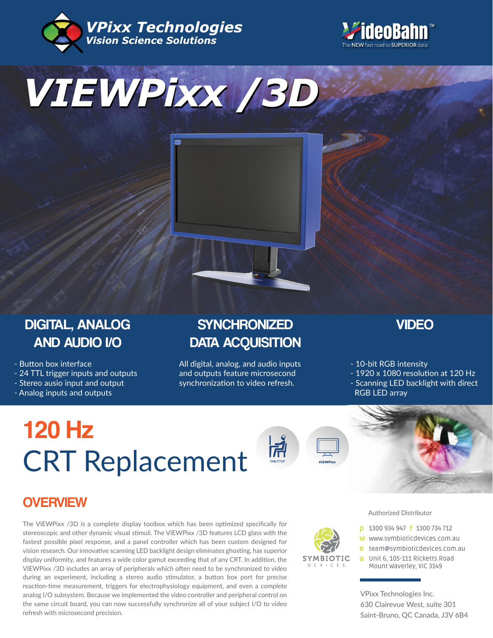







## DIGITAL, ANALOG AND AUDIO I/O

- Button box interface

- 24 TTL trigger inputs and outputs

- Stereo ausio input and output

- Analog inputs and outputs

## **SYNCHRONIZED** DATA ACQUISITION

All digital, analog, and audio inputs and outputs feature microsecond synchronization to video refresh.

VIDEO

- 10-bit RGB intensity

RGB LED array

- 1920 x 1080 resolution at 120 Hz - Scanning LED backlight with direct

# CRT Replacement **120 Hz**



SYMBIOTIC  $D$  F V I C F S



## **OVERVIEW**

The VIEWPixx /3D is a complete display toolbox which has been optimized specifically for stereoscopic and other dynamic visual stimuli. The VIEWPixx /3D features LCD glass with the fastest possible pixel response, and a panel controller which has been custom designed for vision research. Our innovative scanning LED backlight design eliminates ghosting, has superior display uniformity, and features a wide color gamut exceeding that of any CRT. In addition, the VIEWPixx /3D includes an array of peripherals which often need to be synchronized to video during an experiment, including a stereo audio stimulator, a button box port for precise reaction-time measurement, triggers for electrophysiology equipment, and even a complete analog I/O subsystem. Because we implemented the video controller and peripheral control on the same circuit board, you can now successfully synchronize all of your subject I/O to video refresh with microsecond precision.

Authorized Distributor

- **p** 1300 934 947 **f** 1300 734 712
- w www.symbioticdevices.com.au
- [team@symbioticdevices.com.au](https://symbioticdevices.com.au/) e
- Unit 6, 105-111 Ricketts Road a Mount Waverley, VIC 3149

VPixx Technologies Inc. 630 Clairevue West, suite 301 Saint-Bruno, QC Canada, J3V 6B4